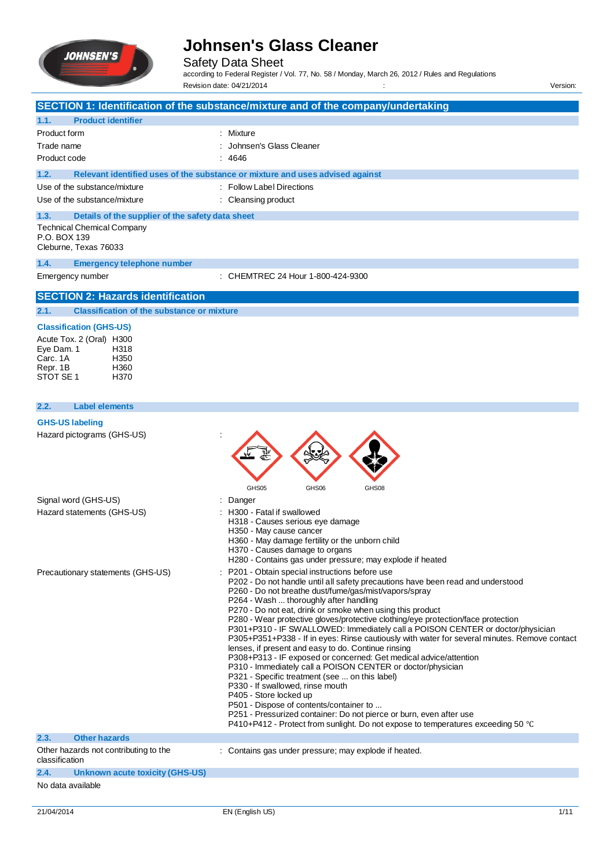

Safety Data Sheet

according to Federal Register / Vol. 77, No. 58 / Monday, March 26, 2012 / Rules and Regulations Revision date: 04/21/2014 : version: version: version: version: version: version: version: version: version: version: version: version: version: version: version: version: version: version: version: version: version: versi

**SECTION 1: Identification of the substance/mixture and of the company/undertaking 1.1. Product identifier** Product form : Nixture : Mixture Trade name : Johnsen's Glass Cleaner Product code : 4646 **1.2. Relevant identified uses of the substance or mixture and uses advised against** Use of the substance/mixture : Follow Label Directions Use of the substance/mixture : Cleansing product **1.3. Details of the supplier of the safety data sheet** Technical Chemical Company P.O. BOX 139 Cleburne, Texas 76033 **1.4. Emergency telephone number** Emergency number : CHEMTREC 24 Hour 1-800-424-9300 **SECTION 2: Hazards identification 2.1. Classification of the substance or mixture Classification (GHS-US)** Acute Tox. 2 (Oral) H300<br>Fve Dam. 1 H318 Eye Dam. 1 H318<br>Carc. 1A H350 Carc. 1A H350

#### **2.2. Label elements**

Repr. 1B H360

#### **GHS-US labeling**

STOT SE 1

Hazard pictograms (GHS-US) :

|                                                         | €∑<br>REA                                                                                                                                                                                                                                                                                                                                                                                                                                                                                                                                                                                                                                                                                                                                                                                                                                                                                                                                                                                                                                                                                          |
|---------------------------------------------------------|----------------------------------------------------------------------------------------------------------------------------------------------------------------------------------------------------------------------------------------------------------------------------------------------------------------------------------------------------------------------------------------------------------------------------------------------------------------------------------------------------------------------------------------------------------------------------------------------------------------------------------------------------------------------------------------------------------------------------------------------------------------------------------------------------------------------------------------------------------------------------------------------------------------------------------------------------------------------------------------------------------------------------------------------------------------------------------------------------|
|                                                         |                                                                                                                                                                                                                                                                                                                                                                                                                                                                                                                                                                                                                                                                                                                                                                                                                                                                                                                                                                                                                                                                                                    |
| Signal word (GHS-US)<br>Hazard statements (GHS-US)      | GHS05<br>GHS06<br>GHS08<br>Danger<br>H300 - Fatal if swallowed<br>H318 - Causes serious eye damage<br>H350 - May cause cancer<br>H360 - May damage fertility or the unborn child                                                                                                                                                                                                                                                                                                                                                                                                                                                                                                                                                                                                                                                                                                                                                                                                                                                                                                                   |
| Precautionary statements (GHS-US)                       | H370 - Causes damage to organs<br>H280 - Contains gas under pressure; may explode if heated<br>P201 - Obtain special instructions before use<br>P202 - Do not handle until all safety precautions have been read and understood<br>P260 - Do not breathe dust/fume/gas/mist/vapors/spray<br>P264 - Wash  thoroughly after handling<br>P270 - Do not eat, drink or smoke when using this product<br>P280 - Wear protective gloves/protective clothing/eye protection/face protection<br>P301+P310 - IF SWALLOWED: Immediately call a POISON CENTER or doctor/physician<br>P305+P351+P338 - If in eyes: Rinse cautiously with water for several minutes. Remove contact<br>lenses, if present and easy to do. Continue rinsing<br>P308+P313 - IF exposed or concerned: Get medical advice/attention<br>P310 - Immediately call a POISON CENTER or doctor/physician<br>P321 - Specific treatment (see  on this label)<br>P330 - If swallowed, rinse mouth<br>P405 - Store locked up<br>P501 - Dispose of contents/container to<br>P251 - Pressurized container: Do not pierce or burn, even after use |
| <b>Other hazards</b><br>2.3.                            | P410+P412 - Protect from sunlight. Do not expose to temperatures exceeding 50 °C                                                                                                                                                                                                                                                                                                                                                                                                                                                                                                                                                                                                                                                                                                                                                                                                                                                                                                                                                                                                                   |
| Other hazards not contributing to the<br>classification | : Contains gas under pressure; may explode if heated.                                                                                                                                                                                                                                                                                                                                                                                                                                                                                                                                                                                                                                                                                                                                                                                                                                                                                                                                                                                                                                              |
| <b>Unknown acute toxicity (GHS-US)</b><br>2.4.          |                                                                                                                                                                                                                                                                                                                                                                                                                                                                                                                                                                                                                                                                                                                                                                                                                                                                                                                                                                                                                                                                                                    |
| No data available                                       |                                                                                                                                                                                                                                                                                                                                                                                                                                                                                                                                                                                                                                                                                                                                                                                                                                                                                                                                                                                                                                                                                                    |

AAA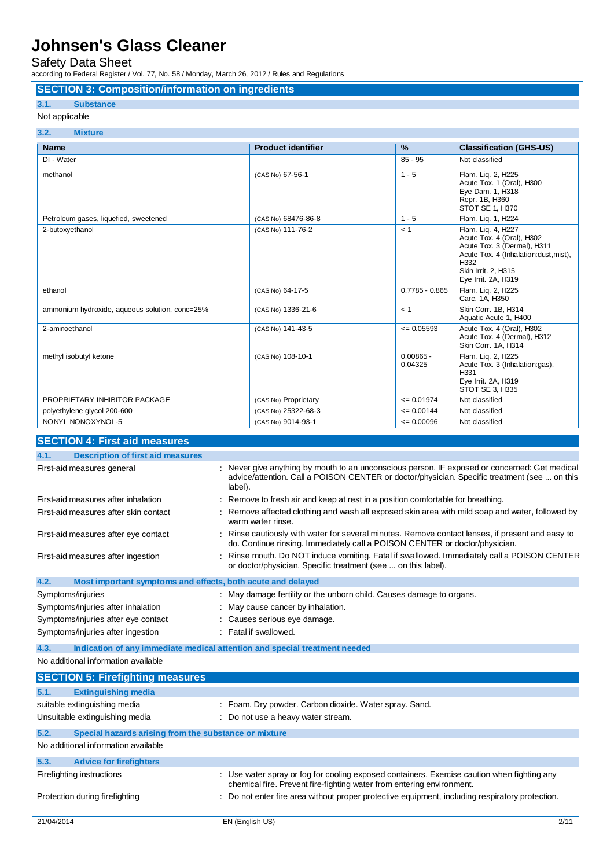### Safety Data Sheet

according to Federal Register / Vol. 77, No. 58 / Monday, March 26, 2012 / Rules and Regulations

### **SECTION 3: Composition/information on ingredients**

### **3.1. Substance**

### Not applicable

| 3.2.<br><b>Mixture</b>                         |                           |                        |                                                                                                                                                                               |
|------------------------------------------------|---------------------------|------------------------|-------------------------------------------------------------------------------------------------------------------------------------------------------------------------------|
| <b>Name</b>                                    | <b>Product identifier</b> | $\frac{9}{6}$          | <b>Classification (GHS-US)</b>                                                                                                                                                |
| DI - Water                                     |                           | $85 - 95$              | Not classified                                                                                                                                                                |
| methanol                                       | (CAS No) 67-56-1          | $1 - 5$                | Flam. Liq. 2, H225<br>Acute Tox. 1 (Oral), H300<br>Eye Dam. 1, H318<br>Repr. 1B, H360<br>STOT SE 1, H370                                                                      |
| Petroleum gases, liquefied, sweetened          | (CAS No) 68476-86-8       | $1 - 5$                | Flam. Lig. 1, H224                                                                                                                                                            |
| 2-butoxyethanol                                | (CAS No) 111-76-2         | < 1                    | Flam. Lig. 4, H227<br>Acute Tox. 4 (Oral), H302<br>Acute Tox. 3 (Dermal), H311<br>Acute Tox. 4 (Inhalation:dust, mist),<br>H332<br>Skin Irrit. 2, H315<br>Eye Irrit. 2A, H319 |
| ethanol                                        | (CAS No) 64-17-5          | $0.7785 - 0.865$       | Flam. Lig. 2, H225<br>Carc. 1A, H350                                                                                                                                          |
| ammonium hydroxide, aqueous solution, conc=25% | (CAS No) 1336-21-6        | < 1                    | Skin Corr. 1B, H314<br>Aquatic Acute 1, H400                                                                                                                                  |
| 2-aminoethanol                                 | (CAS No) 141-43-5         | $\leq 0.05593$         | Acute Tox. 4 (Oral), H302<br>Acute Tox. 4 (Dermal), H312<br>Skin Corr. 1A, H314                                                                                               |
| methyl isobutyl ketone                         | (CAS No) 108-10-1         | $0.00865 -$<br>0.04325 | Flam. Lig. 2, H225<br>Acute Tox. 3 (Inhalation:gas),<br>H331<br>Eye Irrit. 2A, H319<br>STOT SE 3, H335                                                                        |
| PROPRIETARY INHIBITOR PACKAGE                  | (CAS No) Proprietary      | $\leq 0.01974$         | Not classified                                                                                                                                                                |
| polyethylene glycol 200-600                    | (CAS No) 25322-68-3       | $= 0.00144$            | Not classified                                                                                                                                                                |
| NONYL NONOXYNOL-5                              | (CAS No) 9014-93-1        | $\leq 0.00096$         | Not classified                                                                                                                                                                |
| ----------<br>.                                |                           |                        |                                                                                                                                                                               |

| <b>SECTION 4: First aid measures</b>                                |                                                                                                                                                                                                          |
|---------------------------------------------------------------------|----------------------------------------------------------------------------------------------------------------------------------------------------------------------------------------------------------|
| 4.1.<br><b>Description of first aid measures</b>                    |                                                                                                                                                                                                          |
| First-aid measures general                                          | : Never give anything by mouth to an unconscious person. IF exposed or concerned: Get medical<br>advice/attention. Call a POISON CENTER or doctor/physician. Specific treatment (see  on this<br>label). |
| First-aid measures after inhalation                                 | : Remove to fresh air and keep at rest in a position comfortable for breathing.                                                                                                                          |
| First-aid measures after skin contact                               | Remove affected clothing and wash all exposed skin area with mild soap and water, followed by<br>warm water rinse.                                                                                       |
| First-aid measures after eye contact                                | Rinse cautiously with water for several minutes. Remove contact lenses, if present and easy to<br>do. Continue rinsing. Immediately call a POISON CENTER or doctor/physician.                            |
| First-aid measures after ingestion                                  | : Rinse mouth. Do NOT induce vomiting. Fatal if swallowed. Immediately call a POISON CENTER<br>or doctor/physician. Specific treatment (see  on this label).                                             |
| 4.2.<br>Most important symptoms and effects, both acute and delayed |                                                                                                                                                                                                          |
| Symptoms/injuries                                                   | : May damage fertility or the unborn child. Causes damage to organs.                                                                                                                                     |
| Symptoms/injuries after inhalation                                  | : May cause cancer by inhalation.                                                                                                                                                                        |
| Symptoms/injuries after eye contact                                 | : Causes serious eye damage.                                                                                                                                                                             |
| Symptoms/injuries after ingestion                                   | : Fatal if swallowed.                                                                                                                                                                                    |
| 4.3.                                                                | Indication of any immediate medical attention and special treatment needed                                                                                                                               |
| No additional information available                                 |                                                                                                                                                                                                          |
| <b>SECTION 5: Firefighting measures</b>                             |                                                                                                                                                                                                          |

|      | <b>PLOTTON OF FILMING INCREADS</b>                    |                                                                                                                                                                      |
|------|-------------------------------------------------------|----------------------------------------------------------------------------------------------------------------------------------------------------------------------|
| 5.1. | <b>Extinguishing media</b>                            |                                                                                                                                                                      |
|      | suitable extinguishing media                          | : Foam. Dry powder. Carbon dioxide. Water spray. Sand.                                                                                                               |
|      | Unsuitable extinguishing media                        | : Do not use a heavy water stream.                                                                                                                                   |
| 5.2. | Special hazards arising from the substance or mixture |                                                                                                                                                                      |
|      | No additional information available                   |                                                                                                                                                                      |
| 5.3. | <b>Advice for firefighters</b>                        |                                                                                                                                                                      |
|      | Firefighting instructions                             | : Use water spray or fog for cooling exposed containers. Exercise caution when fighting any<br>chemical fire. Prevent fire-fighting water from entering environment. |
|      | Protection during firefighting                        | : Do not enter fire area without proper protective equipment, including respiratory protection.                                                                      |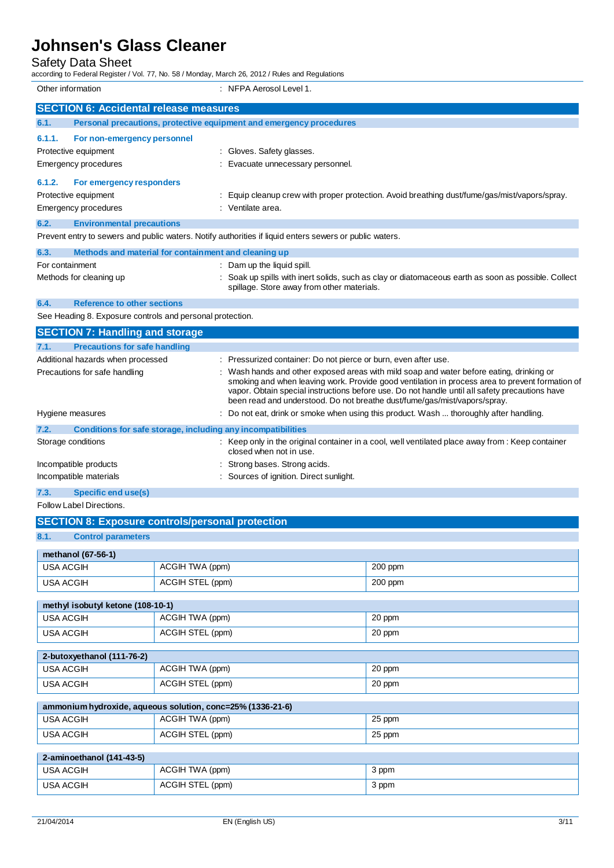### Safety Data Sheet

according to Federal Register / Vol. 77, No. 58 / Monday, March 26, 2012 / Rules and Regulations

Other information : NFPA Aerosol Level 1.

|        | וטווסו וווטוווומנוטו                                                        | $\blacksquare$                                                                                                                                                                                                                                                                                                                                                           |
|--------|-----------------------------------------------------------------------------|--------------------------------------------------------------------------------------------------------------------------------------------------------------------------------------------------------------------------------------------------------------------------------------------------------------------------------------------------------------------------|
|        | <b>SECTION 6: Accidental release measures</b>                               |                                                                                                                                                                                                                                                                                                                                                                          |
| 6.1.   | Personal precautions, protective equipment and emergency procedures         |                                                                                                                                                                                                                                                                                                                                                                          |
| 6.1.1. | For non-emergency personnel<br>Protective equipment<br>Emergency procedures | : Gloves. Safety glasses.<br>Evacuate unnecessary personnel.                                                                                                                                                                                                                                                                                                             |
| 6.1.2. | For emergency responders<br>Protective equipment<br>Emergency procedures    | Equip cleanup crew with proper protection. Avoid breathing dust/fume/gas/mist/vapors/spray.<br>: Ventilate area.                                                                                                                                                                                                                                                         |
| 6.2.   | <b>Environmental precautions</b>                                            |                                                                                                                                                                                                                                                                                                                                                                          |
|        |                                                                             | Prevent entry to sewers and public waters. Notify authorities if liquid enters sewers or public waters.                                                                                                                                                                                                                                                                  |
| 6.3.   | Methods and material for containment and cleaning up                        |                                                                                                                                                                                                                                                                                                                                                                          |
|        | For containment                                                             | : Dam up the liquid spill.                                                                                                                                                                                                                                                                                                                                               |
|        | Methods for cleaning up                                                     | Soak up spills with inert solids, such as clay or diatomaceous earth as soon as possible. Collect<br>spillage. Store away from other materials.                                                                                                                                                                                                                          |
| 6.4.   | <b>Reference to other sections</b>                                          |                                                                                                                                                                                                                                                                                                                                                                          |
|        | See Heading 8. Exposure controls and personal protection.                   |                                                                                                                                                                                                                                                                                                                                                                          |
|        | <b>SECTION 7: Handling and storage</b>                                      |                                                                                                                                                                                                                                                                                                                                                                          |
| 7.1.   | <b>Precautions for safe handling</b>                                        |                                                                                                                                                                                                                                                                                                                                                                          |
|        | Additional hazards when processed                                           | : Pressurized container: Do not pierce or burn, even after use.                                                                                                                                                                                                                                                                                                          |
|        | Precautions for safe handling                                               | Wash hands and other exposed areas with mild soap and water before eating, drinking or<br>smoking and when leaving work. Provide good ventilation in process area to prevent formation of<br>vapor. Obtain special instructions before use. Do not handle until all safety precautions have<br>been read and understood. Do not breathe dust/fume/gas/mist/vapors/spray. |
|        | Hygiene measures                                                            | Do not eat, drink or smoke when using this product. Wash  thoroughly after handling.                                                                                                                                                                                                                                                                                     |
| 7.2.   | Conditions for safe storage, including any incompatibilities                |                                                                                                                                                                                                                                                                                                                                                                          |
|        | Storage conditions                                                          | : Keep only in the original container in a cool, well ventilated place away from : Keep container<br>closed when not in use.                                                                                                                                                                                                                                             |
|        | Incompatible products                                                       | Strong bases. Strong acids.                                                                                                                                                                                                                                                                                                                                              |
|        | Incompatible materials                                                      | : Sources of ignition. Direct sunlight.                                                                                                                                                                                                                                                                                                                                  |
|        |                                                                             |                                                                                                                                                                                                                                                                                                                                                                          |

#### **7.3. Specific end use(s)**

#### Follow Label Directions.

## 21/04/2014 EN (English US) 3/11 **SECTION 8: Exposure controls/personal protection 8.1. Control parameters methanol (67-56-1)** USA ACGIH ACGIH TWA (ppm) 200 ppm USA ACGIH ACGIH STEL (ppm) 200 ppm **methyl isobutyl ketone (108-10-1)** USA ACGIH ACGIH TWA (ppm) 20 ppm USA ACGIH ACGIH STEL (ppm) 20 ppm **2-butoxyethanol (111-76-2)** USA ACGIH  $\overline{C}$  ACGIH TWA (ppm) 20 ppm USA ACGIH ACGIH STEL (ppm) 20 ppm **ammonium hydroxide, aqueous solution, conc=25% (1336-21-6)** USA ACGIH ACGIH TWA (ppm) 25 ppm USA ACGIH ACGIH ACGIH STEL (ppm) 25 ppm **2-aminoethanol (141-43-5)** USA ACGIH  $\vert$  ACGIH TWA (ppm) 3 ppm USA ACGIH ACGIH STEL (ppm) 3 ppm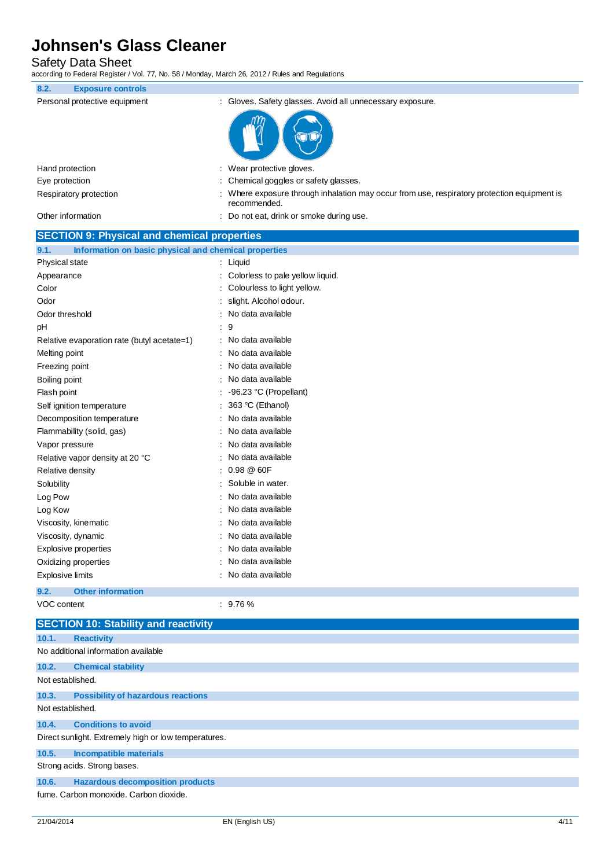Safety Data Sheet

according to Federal Register / Vol. 77, No. 58 / Monday, March 26, 2012 / Rules and Regulations

| iccording to Federal Register / Vol. 77, NO. 307 Monday, March 20, 2012 / Rules and Regulations |                                                                                                           |
|-------------------------------------------------------------------------------------------------|-----------------------------------------------------------------------------------------------------------|
| 8.2.<br><b>Exposure controls</b>                                                                |                                                                                                           |
| Personal protective equipment                                                                   | : Gloves. Safety glasses. Avoid all unnecessary exposure.                                                 |
|                                                                                                 |                                                                                                           |
| Hand protection                                                                                 | Wear protective gloves.                                                                                   |
| Eye protection                                                                                  | Chemical goggles or safety glasses.                                                                       |
| Respiratory protection                                                                          | Where exposure through inhalation may occur from use, respiratory protection equipment is<br>recommended. |
| Other information                                                                               | Do not eat, drink or smoke during use.                                                                    |
| <b>SECTION 9: Physical and chemical properties</b>                                              |                                                                                                           |
| 9.1.<br>Information on basic physical and chemical properties                                   |                                                                                                           |
| Physical state                                                                                  | Liquid                                                                                                    |
| Appearance                                                                                      | Colorless to pale yellow liquid.                                                                          |
| Color                                                                                           | Colourless to light yellow.                                                                               |
| Odor                                                                                            | slight. Alcohol odour.                                                                                    |
| Odor threshold                                                                                  | No data available                                                                                         |
| pH                                                                                              | 9                                                                                                         |
| Relative evaporation rate (butyl acetate=1)                                                     | No data available                                                                                         |
| Melting point                                                                                   | No data available                                                                                         |
| Freezing point                                                                                  | No data available                                                                                         |
| Boiling point                                                                                   | No data available                                                                                         |
| Flash point                                                                                     | -96.23 °C (Propellant)                                                                                    |
| Self ignition temperature                                                                       | 363 °C (Ethanol)                                                                                          |
| Decomposition temperature                                                                       | No data available                                                                                         |
| Flammability (solid, gas)                                                                       | No data available                                                                                         |
| Vapor pressure                                                                                  | No data available                                                                                         |
| Relative vapor density at 20 °C                                                                 | No data available                                                                                         |
| <b>Relative density</b>                                                                         | 0.98 @ 60F                                                                                                |
| Solubility                                                                                      | Soluble in water.                                                                                         |
| Log Pow                                                                                         | No data available                                                                                         |
| Log Kow                                                                                         | No data available                                                                                         |
| Viscosity, kinematic                                                                            | No data available                                                                                         |
| Viscosity, dynamic                                                                              | No data available                                                                                         |
| <b>Explosive properties</b>                                                                     | No data available                                                                                         |
| Oxidizing properties                                                                            | No data available                                                                                         |
| <b>Explosive limits</b>                                                                         | No data available                                                                                         |
| <b>Other information</b><br>9.2.                                                                |                                                                                                           |
| <b>VOC content</b>                                                                              | : 9.76%                                                                                                   |
| <b>SECTION 10: Stability and reactivity</b>                                                     |                                                                                                           |
| <b>Reactivity</b><br>10.1.                                                                      |                                                                                                           |
| No additional information available                                                             |                                                                                                           |
| 10.2.<br><b>Chemical stability</b>                                                              |                                                                                                           |
| Not established.                                                                                |                                                                                                           |
| 10.3.<br><b>Possibility of hazardous reactions</b><br>Not established.                          |                                                                                                           |
| <b>Conditions to avoid</b><br>10.4.                                                             |                                                                                                           |
| Direct sunlight. Extremely high or low temperatures.                                            |                                                                                                           |
| 10.5.<br><b>Incompatible materials</b>                                                          |                                                                                                           |

Strong acids. Strong bases.

#### **10.6. Hazardous decomposition products**

fume. Carbon monoxide. Carbon dioxide.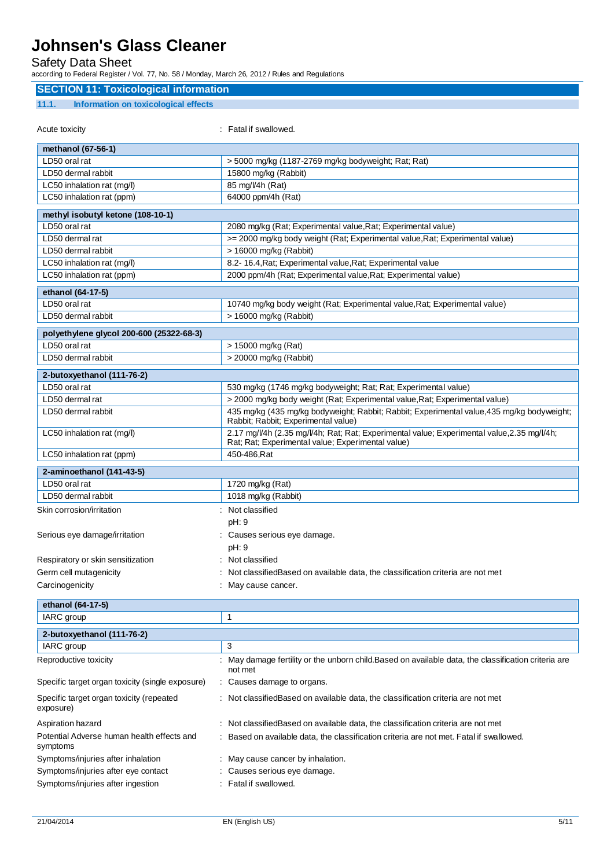### Safety Data Sheet

according to Federal Register / Vol. 77, No. 58 / Monday, March 26, 2012 / Rules and Regulations

### **SECTION 11: Toxicological information**

#### **11.1. Information on toxicological effects**

| Acute toxicity                                         | : Fatal if swallowed.                                                                                                                          |
|--------------------------------------------------------|------------------------------------------------------------------------------------------------------------------------------------------------|
| methanol (67-56-1)                                     |                                                                                                                                                |
| LD50 oral rat                                          | > 5000 mg/kg (1187-2769 mg/kg bodyweight; Rat; Rat)                                                                                            |
| LD50 dermal rabbit                                     | 15800 mg/kg (Rabbit)                                                                                                                           |
| LC50 inhalation rat (mq/l)                             | 85 mg/l/4h (Rat)                                                                                                                               |
| LC50 inhalation rat (ppm)                              | 64000 ppm/4h (Rat)                                                                                                                             |
| methyl isobutyl ketone (108-10-1)                      |                                                                                                                                                |
| LD50 oral rat                                          | 2080 mg/kg (Rat; Experimental value, Rat; Experimental value)                                                                                  |
| LD50 dermal rat                                        | >= 2000 mg/kg body weight (Rat; Experimental value, Rat; Experimental value)                                                                   |
| LD50 dermal rabbit                                     | > 16000 mg/kg (Rabbit)                                                                                                                         |
| LC50 inhalation rat (mg/l)                             | 8.2- 16.4, Rat; Experimental value, Rat; Experimental value                                                                                    |
| LC50 inhalation rat (ppm)                              | 2000 ppm/4h (Rat; Experimental value, Rat; Experimental value)                                                                                 |
| ethanol (64-17-5)                                      |                                                                                                                                                |
| LD50 oral rat                                          | 10740 mg/kg body weight (Rat; Experimental value, Rat; Experimental value)                                                                     |
| LD50 dermal rabbit                                     | > 16000 mg/kg (Rabbit)                                                                                                                         |
| polyethylene glycol 200-600 (25322-68-3)               |                                                                                                                                                |
| LD50 oral rat                                          | > 15000 mg/kg (Rat)                                                                                                                            |
| LD50 dermal rabbit                                     | > 20000 mg/kg (Rabbit)                                                                                                                         |
|                                                        |                                                                                                                                                |
| 2-butoxyethanol (111-76-2)<br>LD50 oral rat            |                                                                                                                                                |
| LD50 dermal rat                                        | 530 mg/kg (1746 mg/kg bodyweight; Rat; Rat; Experimental value)<br>> 2000 mg/kg body weight (Rat; Experimental value, Rat; Experimental value) |
| LD50 dermal rabbit                                     | 435 mg/kg (435 mg/kg bodyweight; Rabbit; Rabbit; Experimental value, 435 mg/kg bodyweight;                                                     |
|                                                        | Rabbit; Rabbit; Experimental value)                                                                                                            |
| LC50 inhalation rat (mg/l)                             | 2.17 mg/V4h (2.35 mg/V4h; Rat; Rat; Experimental value; Experimental value, 2.35 mg/V4h;<br>Rat; Rat; Experimental value; Experimental value)  |
| LC50 inhalation rat (ppm)                              | 450-486, Rat                                                                                                                                   |
| 2-aminoethanol (141-43-5)                              |                                                                                                                                                |
| LD50 oral rat                                          | 1720 mg/kg (Rat)                                                                                                                               |
| LD50 dermal rabbit                                     | 1018 mg/kg (Rabbit)                                                                                                                            |
| Skin corrosion/irritation                              | : Not classified                                                                                                                               |
|                                                        | pH: 9                                                                                                                                          |
| Serious eye damage/irritation                          | : Causes serious eye damage.                                                                                                                   |
|                                                        | pH: 9                                                                                                                                          |
| Respiratory or skin sensitization                      | : Not classified                                                                                                                               |
| Germ cell mutagenicity                                 | Not classifiedBased on available data, the classification criteria are not met                                                                 |
| Carcinogenicity                                        | May cause cancer.                                                                                                                              |
| ethanol (64-17-5)                                      |                                                                                                                                                |
| IARC group                                             | 1                                                                                                                                              |
|                                                        |                                                                                                                                                |
| 2-butoxyethanol (111-76-2)                             |                                                                                                                                                |
| IARC group                                             | 3                                                                                                                                              |
| Reproductive toxicity                                  | May damage fertility or the unborn child. Based on available data, the classification criteria are<br>not met                                  |
| Specific target organ toxicity (single exposure)       | Causes damage to organs.                                                                                                                       |
| Specific target organ toxicity (repeated<br>exposure)  | Not classified Based on available data, the classification criteria are not met                                                                |
| Aspiration hazard                                      | Not classified Based on available data, the classification criteria are not met                                                                |
| Potential Adverse human health effects and<br>symptoms | Based on available data, the classification criteria are not met. Fatal if swallowed.                                                          |
| Symptoms/injuries after inhalation                     | May cause cancer by inhalation.                                                                                                                |
| Symptoms/injuries after eye contact                    | Causes serious eye damage.                                                                                                                     |
| Symptoms/injuries after ingestion                      | Fatal if swallowed.                                                                                                                            |
|                                                        |                                                                                                                                                |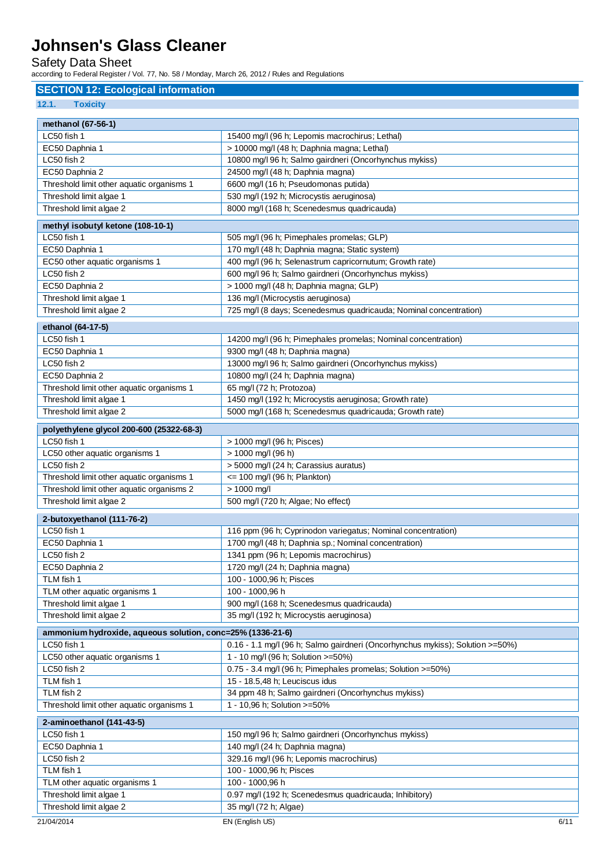### Safety Data Sheet

according to Federal Register / Vol. 77, No. 58 / Monday, March 26, 2012 / Rules and Regulations

#### **SECTION 12: Ecological information**

**12.1. Toxicity**

| methanol (67-56-1)                                         |                                                                               |
|------------------------------------------------------------|-------------------------------------------------------------------------------|
| LC50 fish 1                                                | 15400 mg/l (96 h; Lepomis macrochirus; Lethal)                                |
| EC50 Daphnia 1                                             | > 10000 mg/l (48 h; Daphnia magna; Lethal)                                    |
| LC50 fish 2                                                | 10800 mg/l 96 h; Salmo gairdneri (Oncorhynchus mykiss)                        |
| EC50 Daphnia 2                                             | 24500 mg/l (48 h; Daphnia magna)                                              |
| Threshold limit other aquatic organisms 1                  | 6600 mg/l (16 h; Pseudomonas putida)                                          |
| Threshold limit algae 1                                    | 530 mg/l (192 h; Microcystis aeruginosa)                                      |
| Threshold limit algae 2                                    | 8000 mg/l (168 h; Scenedesmus quadricauda)                                    |
| methyl isobutyl ketone (108-10-1)                          |                                                                               |
| LC50 fish 1                                                | 505 mg/l (96 h; Pimephales promelas; GLP)                                     |
| EC50 Daphnia 1                                             | 170 mg/l (48 h; Daphnia magna; Static system)                                 |
| EC50 other aquatic organisms 1                             | 400 mg/l (96 h; Selenastrum capricornutum; Growth rate)                       |
| LC50 fish 2                                                | 600 mg/l 96 h; Salmo gairdneri (Oncorhynchus mykiss)                          |
| EC50 Daphnia 2                                             | > 1000 mg/l (48 h; Daphnia magna; GLP)                                        |
| Threshold limit algae 1                                    | 136 mg/l (Microcystis aeruginosa)                                             |
| Threshold limit algae 2                                    | 725 mg/l (8 days; Scenedesmus quadricauda; Nominal concentration)             |
|                                                            |                                                                               |
| ethanol (64-17-5)                                          |                                                                               |
| LC50 fish 1                                                | 14200 mg/l (96 h; Pimephales promelas; Nominal concentration)                 |
| EC50 Daphnia 1                                             | 9300 mg/l (48 h; Daphnia magna)                                               |
| LC50 fish 2                                                | 13000 mg/l 96 h; Salmo gairdneri (Oncorhynchus mykiss)                        |
| EC50 Daphnia 2                                             | 10800 mg/l (24 h; Daphnia magna)                                              |
| Threshold limit other aquatic organisms 1                  | 65 mg/l (72 h; Protozoa)                                                      |
| Threshold limit algae 1                                    | 1450 mg/l (192 h; Microcystis aeruginosa; Growth rate)                        |
| Threshold limit algae 2                                    | 5000 mg/l (168 h; Scenedesmus quadricauda; Growth rate)                       |
| polyethylene glycol 200-600 (25322-68-3)                   |                                                                               |
| LC50 fish 1                                                | > 1000 mg/l (96 h; Pisces)                                                    |
| LC50 other aquatic organisms 1                             | > 1000 mg/l (96 h)                                                            |
| LC50 fish 2                                                | > 5000 mg/l (24 h; Carassius auratus)                                         |
| Threshold limit other aquatic organisms 1                  | $\epsilon$ = 100 mg/l (96 h; Plankton)                                        |
| Threshold limit other aquatic organisms 2                  | $> 1000$ mg/l                                                                 |
| Threshold limit algae 2                                    | 500 mg/l (720 h; Algae; No effect)                                            |
|                                                            |                                                                               |
| 2-butoxyethanol (111-76-2)                                 |                                                                               |
| LC50 fish 1                                                | 116 ppm (96 h; Cyprinodon variegatus; Nominal concentration)                  |
| EC50 Daphnia 1                                             | 1700 mg/l (48 h; Daphnia sp.; Nominal concentration)                          |
| LC50 fish 2                                                | 1341 ppm (96 h; Lepomis macrochirus)                                          |
| EC50 Daphnia 2                                             | 1720 mg/l (24 h; Daphnia magna)                                               |
| TLM fish 1                                                 | 100 - 1000,96 h; Pisces                                                       |
| TLM other aquatic organisms 1                              | 100 - 1000,96 h                                                               |
| Threshold limit algae 1                                    | 900 mg/l (168 h; Scenedesmus quadricauda)                                     |
| Threshold limit algae 2                                    | 35 mg/l (192 h; Microcystis aeruginosa)                                       |
| ammonium hydroxide, aqueous solution, conc=25% (1336-21-6) |                                                                               |
| LC50 fish 1                                                | 0.16 - 1.1 mg/l (96 h; Salmo gairdneri (Oncorhynchus mykiss); Solution >=50%) |
| LC50 other aquatic organisms 1                             | 1 - 10 mg/l (96 h; Solution >=50%)                                            |
| LC50 fish 2                                                | 0.75 - 3.4 mg/l (96 h; Pimephales promelas; Solution >=50%)                   |
| TLM fish 1                                                 | 15 - 18.5,48 h; Leuciscus idus                                                |
| TLM fish 2                                                 | 34 ppm 48 h; Salmo gairdneri (Oncorhynchus mykiss)                            |
| Threshold limit other aquatic organisms 1                  | 1 - 10,96 h; Solution >=50%                                                   |
|                                                            |                                                                               |
| 2-aminoethanol (141-43-5)                                  |                                                                               |
| LC50 fish 1                                                | 150 mg/l 96 h; Salmo gairdneri (Oncorhynchus mykiss)                          |
| EC50 Daphnia 1                                             | 140 mg/l (24 h; Daphnia magna)                                                |
| LC50 fish 2                                                | 329.16 mg/l (96 h; Lepomis macrochirus)                                       |
| TLM fish 1                                                 | 100 - 1000,96 h; Pisces                                                       |
| TLM other aquatic organisms 1                              | 100 - 1000,96 h                                                               |
| Threshold limit algae 1                                    | 0.97 mg/l (192 h; Scenedesmus quadricauda; Inhibitory)                        |
| Threshold limit algae 2                                    | 35 mg/l (72 h; Algae)                                                         |
| 21/04/2014                                                 | EN (English US)<br>6/11                                                       |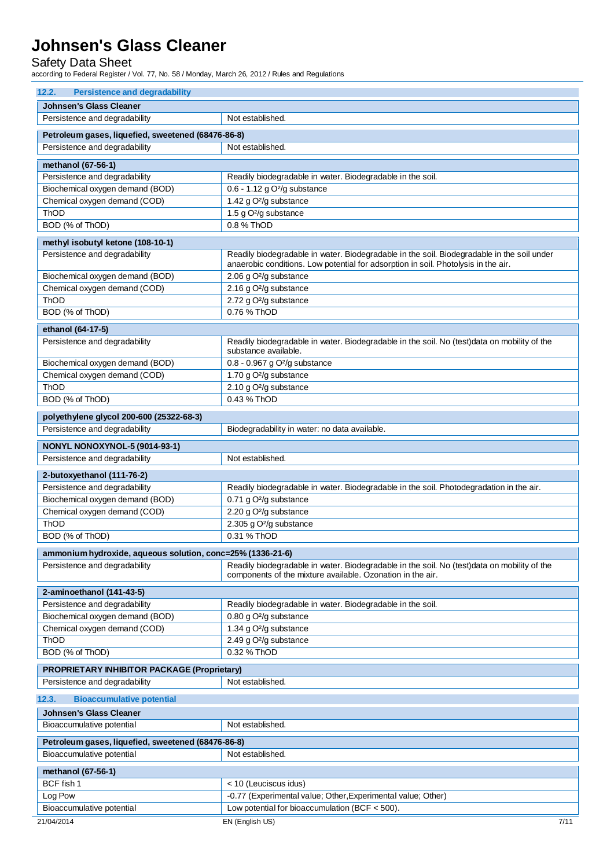### Safety Data Sheet

according to Federal Register / Vol. 77, No. 58 / Monday, March 26, 2012 / Rules and Regulations

| 12.2.<br><b>Persistence and degradability</b>                                       |                                                                                                                                                                                  |  |
|-------------------------------------------------------------------------------------|----------------------------------------------------------------------------------------------------------------------------------------------------------------------------------|--|
| Johnsen's Glass Cleaner                                                             |                                                                                                                                                                                  |  |
| Persistence and degradability                                                       | Not established.                                                                                                                                                                 |  |
|                                                                                     |                                                                                                                                                                                  |  |
| Petroleum gases, liquefied, sweetened (68476-86-8)<br>Persistence and degradability | Not established.                                                                                                                                                                 |  |
|                                                                                     |                                                                                                                                                                                  |  |
| methanol (67-56-1)                                                                  |                                                                                                                                                                                  |  |
| Persistence and degradability                                                       | Readily biodegradable in water. Biodegradable in the soil.                                                                                                                       |  |
| Biochemical oxygen demand (BOD)                                                     | $0.6 - 1.12$ g O <sup>2</sup> /g substance                                                                                                                                       |  |
| Chemical oxygen demand (COD)                                                        | 1.42 g O <sup>2</sup> /g substance                                                                                                                                               |  |
| ThOD                                                                                | 1.5 g O <sup>2</sup> /g substance                                                                                                                                                |  |
| BOD (% of ThOD)                                                                     | 0.8 % ThOD                                                                                                                                                                       |  |
| methyl isobutyl ketone (108-10-1)                                                   |                                                                                                                                                                                  |  |
| Persistence and degradability                                                       | Readily biodegradable in water. Biodegradable in the soil. Biodegradable in the soil under<br>anaerobic conditions. Low potential for adsorption in soil. Photolysis in the air. |  |
| Biochemical oxygen demand (BOD)                                                     | 2.06 g O <sup>2</sup> /g substance                                                                                                                                               |  |
| Chemical oxygen demand (COD)                                                        | 2.16 g O <sup>2</sup> /g substance                                                                                                                                               |  |
| ThOD                                                                                | 2.72 g O <sup>2</sup> /g substance                                                                                                                                               |  |
| BOD (% of ThOD)                                                                     | 0.76 % ThOD                                                                                                                                                                      |  |
| ethanol (64-17-5)                                                                   |                                                                                                                                                                                  |  |
| Persistence and degradability                                                       | Readily biodegradable in water. Biodegradable in the soil. No (test)data on mobility of the<br>substance available.                                                              |  |
| Biochemical oxygen demand (BOD)                                                     | 0.8 - 0.967 g O <sup>2</sup> /g substance                                                                                                                                        |  |
| Chemical oxygen demand (COD)                                                        | 1.70 g O <sup>2</sup> /g substance                                                                                                                                               |  |
| ThOD                                                                                | 2.10 g O <sup>2</sup> /g substance                                                                                                                                               |  |
| BOD (% of ThOD)                                                                     | 0.43 % ThOD                                                                                                                                                                      |  |
|                                                                                     |                                                                                                                                                                                  |  |
| polyethylene glycol 200-600 (25322-68-3)                                            |                                                                                                                                                                                  |  |
| Persistence and degradability                                                       | Biodegradability in water: no data available.                                                                                                                                    |  |
| NONYL NONOXYNOL-5 (9014-93-1)                                                       |                                                                                                                                                                                  |  |
| Persistence and degradability                                                       | Not established.                                                                                                                                                                 |  |
| 2-butoxyethanol (111-76-2)                                                          |                                                                                                                                                                                  |  |
| Persistence and degradability                                                       | Readily biodegradable in water. Biodegradable in the soil. Photodegradation in the air.                                                                                          |  |
| Biochemical oxygen demand (BOD)                                                     | 0.71 g O <sup>2</sup> /g substance                                                                                                                                               |  |
| Chemical oxygen demand (COD)                                                        | 2.20 g O <sup>2</sup> /g substance                                                                                                                                               |  |
| ThOD                                                                                | 2.305 g O <sup>2</sup> /g substance                                                                                                                                              |  |
| BOD (% of ThOD)                                                                     | 0.31 % ThOD                                                                                                                                                                      |  |
|                                                                                     |                                                                                                                                                                                  |  |
| ammonium hydroxide, aqueous solution, conc=25% (1336-21-6)                          |                                                                                                                                                                                  |  |
| Persistence and degradability                                                       | Readily biodegradable in water. Biodegradable in the soil. No (test)data on mobility of the<br>components of the mixture available. Ozonation in the air.                        |  |
| 2-aminoethanol (141-43-5)                                                           |                                                                                                                                                                                  |  |
| Persistence and degradability                                                       | Readily biodegradable in water. Biodegradable in the soil.                                                                                                                       |  |
| Biochemical oxygen demand (BOD)                                                     | 0.80 g O <sup>2</sup> /g substance                                                                                                                                               |  |
| Chemical oxygen demand (COD)                                                        | 1.34 g O <sup>2</sup> /g substance                                                                                                                                               |  |
| ThOD                                                                                | 2.49 g O <sup>2</sup> /g substance                                                                                                                                               |  |
| BOD (% of ThOD)                                                                     | 0.32 % ThOD                                                                                                                                                                      |  |
| <b>PROPRIETARY INHIBITOR PACKAGE (Proprietary)</b>                                  |                                                                                                                                                                                  |  |
| Persistence and degradability                                                       | Not established.                                                                                                                                                                 |  |
| 12.3.<br><b>Bioaccumulative potential</b>                                           |                                                                                                                                                                                  |  |
| <b>Johnsen's Glass Cleaner</b>                                                      |                                                                                                                                                                                  |  |
| Bioaccumulative potential                                                           | Not established.                                                                                                                                                                 |  |
|                                                                                     |                                                                                                                                                                                  |  |
| Petroleum gases, liquefied, sweetened (68476-86-8)                                  |                                                                                                                                                                                  |  |
| Bioaccumulative potential                                                           | Not established.                                                                                                                                                                 |  |
| methanol (67-56-1)                                                                  |                                                                                                                                                                                  |  |
| BCF fish 1                                                                          | < 10 (Leuciscus idus)                                                                                                                                                            |  |
| Log Pow                                                                             | -0.77 (Experimental value; Other, Experimental value; Other)                                                                                                                     |  |
| Bioaccumulative potential                                                           | Low potential for bioaccumulation (BCF < 500).                                                                                                                                   |  |
| 21/04/2014                                                                          | EN (English US)<br>7/11                                                                                                                                                          |  |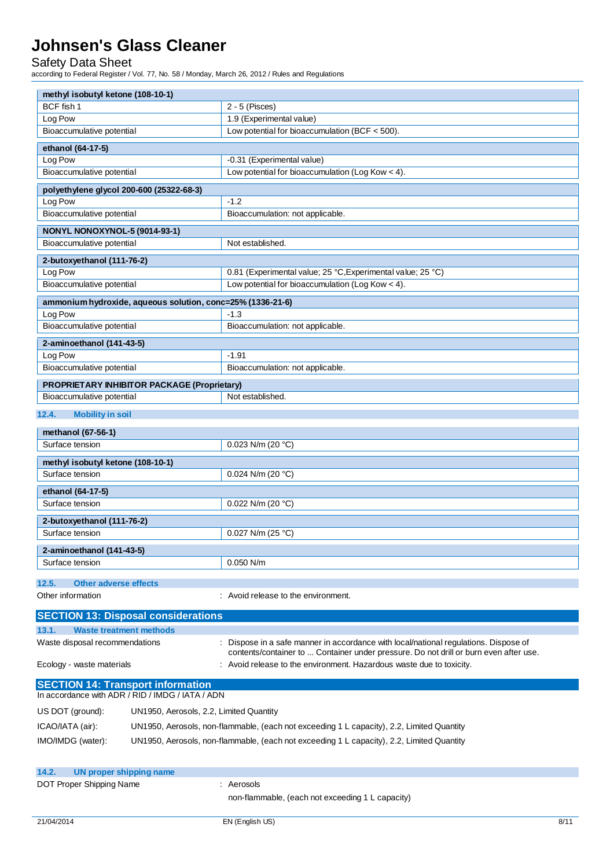### Safety Data Sheet

according to Federal Register / Vol. 77, No. 58 / Monday, March 26, 2012 / Rules and Regulations

| methyl isobutyl ketone (108-10-1)                                                            |                                                                                           |  |  |
|----------------------------------------------------------------------------------------------|-------------------------------------------------------------------------------------------|--|--|
| BCF fish 1                                                                                   | $2 - 5$ (Pisces)                                                                          |  |  |
| Log Pow                                                                                      | 1.9 (Experimental value)                                                                  |  |  |
| Bioaccumulative potential                                                                    | Low potential for bioaccumulation (BCF $<$ 500).                                          |  |  |
| ethanol (64-17-5)                                                                            |                                                                                           |  |  |
| Log Pow                                                                                      | -0.31 (Experimental value)                                                                |  |  |
| Bioaccumulative potential                                                                    | Low potential for bioaccumulation (Log Kow < 4).                                          |  |  |
| polyethylene glycol 200-600 (25322-68-3)                                                     |                                                                                           |  |  |
| Log Pow                                                                                      | $-1.2$                                                                                    |  |  |
| Bioaccumulative potential                                                                    | Bioaccumulation: not applicable.                                                          |  |  |
| NONYL NONOXYNOL-5 (9014-93-1)                                                                |                                                                                           |  |  |
| Bioaccumulative potential                                                                    | Not established.                                                                          |  |  |
| 2-butoxyethanol (111-76-2)                                                                   |                                                                                           |  |  |
| Log Pow                                                                                      | 0.81 (Experimental value; 25 °C, Experimental value; 25 °C)                               |  |  |
| Bioaccumulative potential                                                                    | Low potential for bioaccumulation (Log Kow < 4).                                          |  |  |
| ammonium hydroxide, aqueous solution, conc=25% (1336-21-6)                                   |                                                                                           |  |  |
| Log Pow                                                                                      | $-1.3$                                                                                    |  |  |
| Bioaccumulative potential                                                                    | Bioaccumulation: not applicable.                                                          |  |  |
|                                                                                              |                                                                                           |  |  |
| 2-aminoethanol (141-43-5)<br>Log Pow                                                         | $-1.91$                                                                                   |  |  |
| Bioaccumulative potential                                                                    | Bioaccumulation: not applicable.                                                          |  |  |
|                                                                                              |                                                                                           |  |  |
| PROPRIETARY INHIBITOR PACKAGE (Proprietary)<br>Bioaccumulative potential                     | Not established.                                                                          |  |  |
|                                                                                              |                                                                                           |  |  |
| 12.4.<br><b>Mobility in soil</b>                                                             |                                                                                           |  |  |
| methanol (67-56-1)                                                                           |                                                                                           |  |  |
| Surface tension                                                                              | 0.023 N/m (20 $°C$ )                                                                      |  |  |
| methyl isobutyl ketone (108-10-1)                                                            |                                                                                           |  |  |
| Surface tension                                                                              | 0.024 N/m (20 $°C$ )                                                                      |  |  |
| ethanol (64-17-5)                                                                            |                                                                                           |  |  |
| Surface tension                                                                              | 0.022 N/m (20 $°C$ )                                                                      |  |  |
|                                                                                              |                                                                                           |  |  |
| 2-butoxyethanol (111-76-2)<br>Surface tension                                                | 0.027 N/m (25 °C)                                                                         |  |  |
|                                                                                              |                                                                                           |  |  |
| 2-aminoethanol (141-43-5)                                                                    |                                                                                           |  |  |
| Surface tension                                                                              | $0.050$ N/m                                                                               |  |  |
| 12.5.<br><b>Other adverse effects</b>                                                        |                                                                                           |  |  |
| Other information                                                                            | : Avoid release to the environment.                                                       |  |  |
| <b>SECTION 13: Disposal considerations</b>                                                   |                                                                                           |  |  |
|                                                                                              |                                                                                           |  |  |
| 13.1.<br><b>Waste treatment methods</b><br>Waste disposal recommendations                    | Dispose in a safe manner in accordance with local/national regulations. Dispose of        |  |  |
|                                                                                              | contents/container to  Container under pressure. Do not drill or burn even after use.     |  |  |
| Ecology - waste materials                                                                    | Avoid release to the environment. Hazardous waste due to toxicity.                        |  |  |
|                                                                                              |                                                                                           |  |  |
| <b>SECTION 14: Transport information</b><br>In accordance with ADR / RID / IMDG / IATA / ADN |                                                                                           |  |  |
| US DOT (ground):<br>UN1950, Aerosols, 2.2, Limited Quantity                                  |                                                                                           |  |  |
|                                                                                              |                                                                                           |  |  |
| ICAO/IATA (air):                                                                             | UN1950, Aerosols, non-flammable, (each not exceeding 1 L capacity), 2.2, Limited Quantity |  |  |
| IMO/IMDG (water):                                                                            | UN1950, Aerosols, non-flammable, (each not exceeding 1 L capacity), 2.2, Limited Quantity |  |  |
|                                                                                              |                                                                                           |  |  |
| 14.2.<br>UN proper shipping name                                                             |                                                                                           |  |  |
| DOT Proper Shipping Name                                                                     | : Aerosols                                                                                |  |  |
|                                                                                              | non-flammable, (each not exceeding 1 L capacity)                                          |  |  |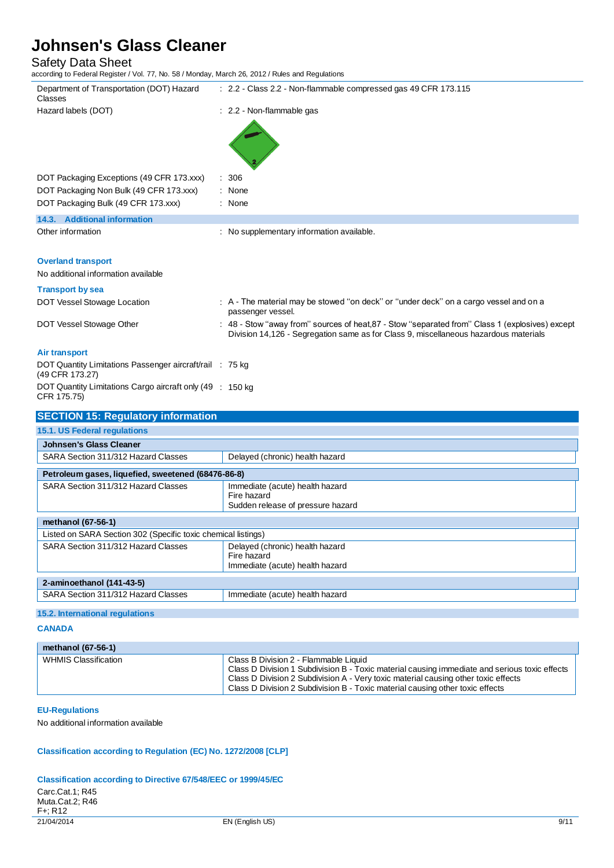# Safety Data Sheet<br>according to Federal Register / \

z. No. 58 / Monday, March 26, 2012 / Rules and Regulations

| according to Federal Register / Vol. 77, NO. 567 Monday, March 26, 2012 / Rules and Regulations |                                                                                                                                                                                         |
|-------------------------------------------------------------------------------------------------|-----------------------------------------------------------------------------------------------------------------------------------------------------------------------------------------|
| Department of Transportation (DOT) Hazard<br>Classes                                            | : 2.2 - Class 2.2 - Non-flammable compressed gas 49 CFR 173.115                                                                                                                         |
| Hazard labels (DOT)                                                                             | : 2.2 - Non-flammable gas                                                                                                                                                               |
|                                                                                                 |                                                                                                                                                                                         |
| DOT Packaging Exceptions (49 CFR 173.xxx)                                                       | : 306                                                                                                                                                                                   |
| DOT Packaging Non Bulk (49 CFR 173.xxx)                                                         | : None                                                                                                                                                                                  |
| DOT Packaging Bulk (49 CFR 173.xxx)                                                             | : None                                                                                                                                                                                  |
| 14.3. Additional information                                                                    |                                                                                                                                                                                         |
| Other information                                                                               | : No supplementary information available.                                                                                                                                               |
| <b>Overland transport</b>                                                                       |                                                                                                                                                                                         |
| No additional information available                                                             |                                                                                                                                                                                         |
| <b>Transport by sea</b>                                                                         |                                                                                                                                                                                         |
| DOT Vessel Stowage Location                                                                     | : A - The material may be stowed "on deck" or "under deck" on a cargo vessel and on a<br>passenger vessel.                                                                              |
| DOT Vessel Stowage Other                                                                        | : 48 - Stow "away from" sources of heat, 87 - Stow "separated from" Class 1 (explosives) except<br>Division 14,126 - Segregation same as for Class 9, miscellaneous hazardous materials |
| <b>Air transport</b>                                                                            |                                                                                                                                                                                         |
| DOT Quantity Limitations Passenger aircraft/rail : 75 kg<br>(49 CFR 173.27)                     |                                                                                                                                                                                         |
| DOT Quantity Limitations Cargo aircraft only (49 : 150 kg)<br>CFR 175.75)                       |                                                                                                                                                                                         |
| <b>SECTION 15: Regulatory information</b>                                                       |                                                                                                                                                                                         |
| 15.1. US Federal regulations                                                                    |                                                                                                                                                                                         |
| <b>Johnsen's Glass Cleaner</b>                                                                  |                                                                                                                                                                                         |
| SARA Section 311/312 Hazard Classes                                                             | Delayed (chronic) health hazard                                                                                                                                                         |
| Petroleum gases, liquefied, sweetened (68476-86-8)                                              |                                                                                                                                                                                         |
| SARA Section 311/312 Hazard Classes                                                             | Immediate (acute) health hazard                                                                                                                                                         |
|                                                                                                 | Fire hazard<br>Sudden release of pressure hazard                                                                                                                                        |
| methanol (67-56-1)                                                                              |                                                                                                                                                                                         |

| methanol (67-56-1)                                            |                                                                                   |  |
|---------------------------------------------------------------|-----------------------------------------------------------------------------------|--|
| Listed on SARA Section 302 (Specific toxic chemical listings) |                                                                                   |  |
| SARA Section 311/312 Hazard Classes                           | Delayed (chronic) health hazard<br>Fire hazard<br>Immediate (acute) health hazard |  |
| 2-aminoethanol (141-43-5)                                     |                                                                                   |  |
| SARA Section 311/312 Hazard Classes                           | Immediate (acute) health hazard                                                   |  |

### **15.2. International regulations**

#### **CANADA**

| methanol (67-56-1)   |                                                                                                                                                                                                                                                                                                               |
|----------------------|---------------------------------------------------------------------------------------------------------------------------------------------------------------------------------------------------------------------------------------------------------------------------------------------------------------|
| WHMIS Classification | Class B Division 2 - Flammable Liquid<br>Class D Division 1 Subdivision B - Toxic material causing immediate and serious toxic effects<br>Class D Division 2 Subdivision A - Very toxic material causing other toxic effects<br>Class D Division 2 Subdivision B - Toxic material causing other toxic effects |

#### **EU-Regulations**

No additional information available

#### **Classification according to Regulation (EC) No. 1272/2008 [CLP]**

#### **Classification according to Directive 67/548/EEC or 1999/45/EC**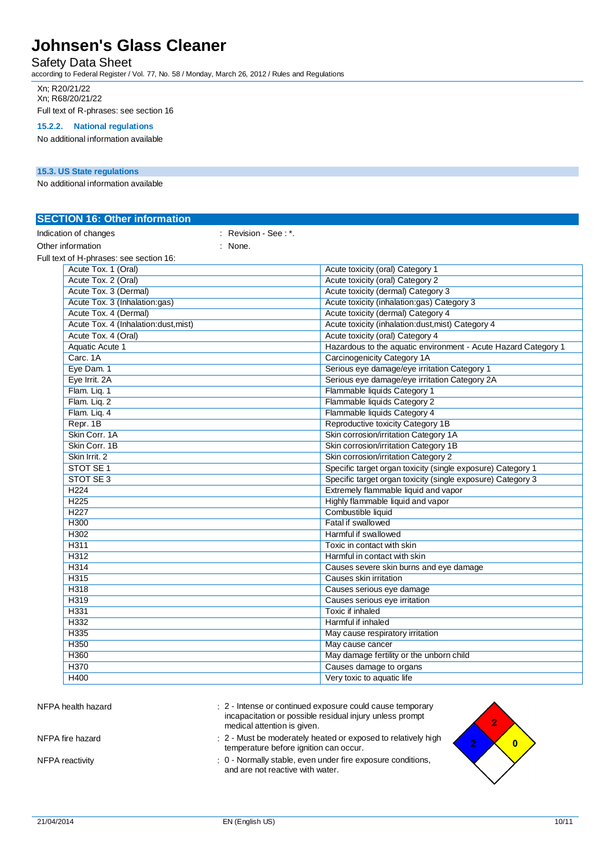### Safety Data Sheet

according to Federal Register / Vol. 77, No. 58 / Monday, March 26, 2012 / Rules and Regulations

Xn; R20/21/22 Xn; R68/20/21/22 Full text of R-phrases: see section 16

#### **15.2.2. National regulations**

No additional information available

#### **15.3. US State regulations**

No additional information available

| <b>SECTION 16: Other information</b>    |                      |                                                                |
|-----------------------------------------|----------------------|----------------------------------------------------------------|
| Indication of changes                   | : Revision - See: *. |                                                                |
| Other information                       | : None.              |                                                                |
| Full text of H-phrases: see section 16: |                      |                                                                |
| Acute Tox. 1 (Oral)                     |                      | Acute toxicity (oral) Category 1                               |
| Acute Tox. 2 (Oral)                     |                      | Acute toxicity (oral) Category 2                               |
| Acute Tox. 3 (Dermal)                   |                      | Acute toxicity (dermal) Category 3                             |
| Acute Tox. 3 (Inhalation:gas)           |                      | Acute toxicity (inhalation:gas) Category 3                     |
| Acute Tox. 4 (Dermal)                   |                      | Acute toxicity (dermal) Category 4                             |
| Acute Tox. 4 (Inhalation:dust, mist)    |                      | Acute toxicity (inhalation:dust, mist) Category 4              |
| Acute Tox. 4 (Oral)                     |                      | Acute toxicity (oral) Category 4                               |
| Aquatic Acute 1                         |                      | Hazardous to the aquatic environment - Acute Hazard Category 1 |
| Carc. 1A                                |                      | <b>Carcinogenicity Category 1A</b>                             |
| Eye Dam. 1                              |                      | Serious eye damage/eye irritation Category 1                   |
| Eye Irrit. 2A                           |                      | Serious eye damage/eye irritation Category 2A                  |
| Flam. Liq. 1                            |                      | Flammable liquids Category 1                                   |
| Flam. Liq. 2                            |                      | Flammable liquids Category 2                                   |
| Flam. Liq. 4                            |                      | Flammable liquids Category 4                                   |
| Repr. 1B                                |                      | Reproductive toxicity Category 1B                              |
| Skin Corr. 1A                           |                      | Skin corrosion/irritation Category 1A                          |
| Skin Corr, 1B                           |                      | Skin corrosion/irritation Category 1B                          |
| Skin Irrit. 2                           |                      | Skin corrosion/irritation Category 2                           |
| STOT SE <sub>1</sub>                    |                      | Specific target organ toxicity (single exposure) Category 1    |
| STOT SE 3                               |                      | Specific target organ toxicity (single exposure) Category 3    |
| H <sub>224</sub>                        |                      | Extremely flammable liquid and vapor                           |
| H <sub>225</sub>                        |                      | Highly flammable liquid and vapor                              |
| H <sub>227</sub>                        |                      | Combustible liquid                                             |
| H300                                    |                      | Fatal if swallowed                                             |
| H302                                    |                      | Harmful if swallowed                                           |
| H311                                    |                      | Toxic in contact with skin                                     |
| H312                                    |                      | Harmful in contact with skin                                   |
| H314                                    |                      | Causes severe skin burns and eye damage                        |
| H315                                    |                      | Causes skin irritation                                         |
| H318                                    |                      | Causes serious eye damage                                      |
| H319                                    |                      | Causes serious eye irritation                                  |
| H331                                    |                      | Toxic if inhaled                                               |
| H332                                    |                      | Harmful if inhaled                                             |
| H335                                    |                      | May cause respiratory irritation                               |
| H350                                    |                      | May cause cancer                                               |
| H360                                    |                      | May damage fertility or the unborn child                       |
| H370                                    |                      | Causes damage to organs                                        |
| H400                                    |                      | Very toxic to aquatic life                                     |

| NFPA health hazard | : 2 - Intense or continued exposure could cause temporary<br>incapacitation or possible residual injury unless prompt<br>medical attention is given. |
|--------------------|------------------------------------------------------------------------------------------------------------------------------------------------------|
| NFPA fire hazard   | : 2 - Must be moderately heated or exposed to relatively hide<br>temperature before ignition can occur.                                              |
| NFPA reactivity    | : 0 - Normally stable, even under fire exposure conditions,<br>and are not reportive with water                                                      |

and are not reactive with water.

 $\overline{2}$ 

 $\overline{2}$ 

 $\overline{\mathbf{0}}$